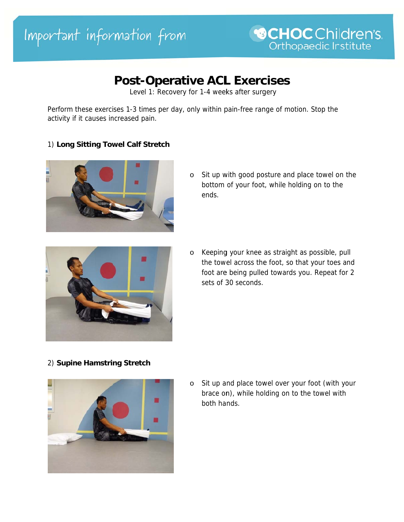# **Post-Operative ACL Exercises**

Level 1: Recovery for 1-4 weeks after surgery

Perform these exercises 1-3 times per day, only within pain-free range of motion. Stop the activity if it causes increased pain.

#### 1) Long Sitting Towel Calf Stretch



o Sit up with good posture and place towel on the bottom of your foot, while holding on to the ends.



o Keeping your knee as straight as possible, pull the towel across the foot, so that your toes and foot are being pulled towards you. Repeat for 2 sets of 30 seconds.

# 2) Supine Hamstring Stretch



o Sit up and place towel over your foot (with your brace on), while holding on to the towel with both hands.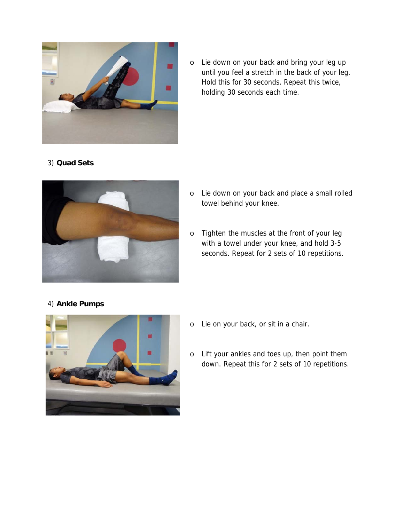

o Lie down on your back and bring your leg up until you feel a stretch in the back of your leg. Hold this for 30 seconds. Repeat this twice, holding 30 seconds each time. ,<br>olled

# 3) **Quad Sets**



- o Lie down on your back and place a small ro towel behind your knee.
- o Tighten the muscles at the front of your leg with a towel under your knee, and hold 3-5 Tighten the muscles at the front of your leg<br>with a towel under your knee, and hold 3-5<br>seconds. Repeat for 2 sets of 10 repetitions.

#### 4) **Ankle e Pumps**



- o Lie on your back, or sit in a chair.
- o Lift your ankles and toes up, then point them down. Repeat this for 2 sets of 10 repetitions.